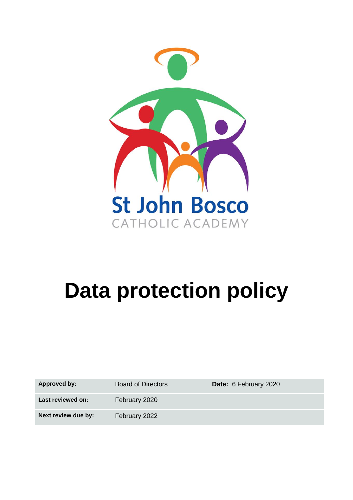

# **Data protection policy**

Approved by: Board of Directors **Date:** 6 February 2020

Last reviewed on: February 2020

**Next review due by:** February 2022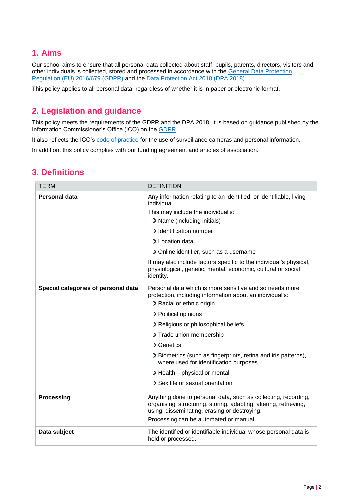## **1. Aims**

Our school aims to ensure that all personal data collected about staff, pupils, parents, directors, visitors and other individuals is collected, stored and processed in accordance with the [General Data Protection](https://eur-lex.europa.eu/legal-content/EN/TXT/?qid=1528874672298&uri=CELEX:02016R0679-20160504)  [Regulation \(EU\) 2016/679 \(GDPR\)](https://eur-lex.europa.eu/legal-content/EN/TXT/?qid=1528874672298&uri=CELEX:02016R0679-20160504) and the [Data Protection Act 2018 \(DPA 2018\).](http://www.legislation.gov.uk/ukpga/2018/12/contents/enacted)

This policy applies to all personal data, regardless of whether it is in paper or electronic format.

# **2. Legislation and guidance**

This policy meets the requirements of the GDPR and the DPA 2018. It is based on guidance published by the Information Commissioner's Office (ICO) on the [GDPR.](https://ico.org.uk/for-organisations/guide-to-the-general-data-protection-regulation-gdpr/)

It also reflects the ICO's [code of practice](https://ico.org.uk/media/for-organisations/documents/1542/cctv-code-of-practice.pdf) for the use of surveillance cameras and personal information.

In addition, this policy complies with our funding agreement and articles of association.

| <b>TERM</b>                         | <b>DEFINITION</b>                                                                                                                                                                   |
|-------------------------------------|-------------------------------------------------------------------------------------------------------------------------------------------------------------------------------------|
| Personal data                       | Any information relating to an identified, or identifiable, living<br>individual.                                                                                                   |
|                                     | This may include the individual's:                                                                                                                                                  |
|                                     | > Name (including initials)                                                                                                                                                         |
|                                     | > Identification number                                                                                                                                                             |
|                                     | > Location data                                                                                                                                                                     |
|                                     | > Online identifier, such as a username                                                                                                                                             |
|                                     | It may also include factors specific to the individual's physical,<br>physiological, genetic, mental, economic, cultural or social<br>identity.                                     |
| Special categories of personal data | Personal data which is more sensitive and so needs more<br>protection, including information about an individual's:<br>> Racial or ethnic origin                                    |
|                                     | > Political opinions                                                                                                                                                                |
|                                     | > Religious or philosophical beliefs                                                                                                                                                |
|                                     | > Trade union membership                                                                                                                                                            |
|                                     | > Genetics                                                                                                                                                                          |
|                                     | > Biometrics (such as fingerprints, retina and iris patterns),<br>where used for identification purposes                                                                            |
|                                     | > Health – physical or mental                                                                                                                                                       |
|                                     | > Sex life or sexual orientation                                                                                                                                                    |
| <b>Processing</b>                   | Anything done to personal data, such as collecting, recording,<br>organising, structuring, storing, adapting, altering, retrieving,<br>using, disseminating, erasing or destroying. |
|                                     | Processing can be automated or manual.                                                                                                                                              |
| Data subject                        | The identified or identifiable individual whose personal data is<br>held or processed.                                                                                              |

## **3. Definitions**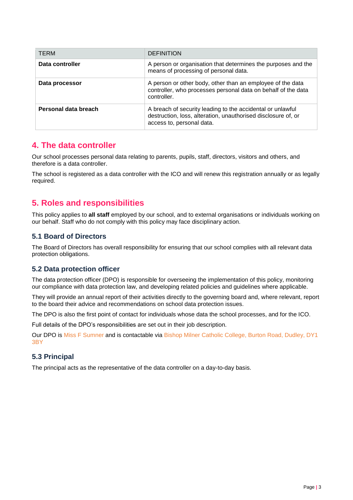| <b>TERM</b>          | <b>DEFINITION</b>                                                                                                                                        |
|----------------------|----------------------------------------------------------------------------------------------------------------------------------------------------------|
| Data controller      | A person or organisation that determines the purposes and the<br>means of processing of personal data.                                                   |
| Data processor       | A person or other body, other than an employee of the data<br>controller, who processes personal data on behalf of the data<br>controller.               |
| Personal data breach | A breach of security leading to the accidental or unlawful<br>destruction, loss, alteration, unauthorised disclosure of, or<br>access to, personal data. |

## **4. The data controller**

Our school processes personal data relating to parents, pupils, staff, directors, visitors and others, and therefore is a data controller.

The school is registered as a data controller with the ICO and will renew this registration annually or as legally required.

# **5. Roles and responsibilities**

This policy applies to **all staff** employed by our school, and to external organisations or individuals working on our behalf. Staff who do not comply with this policy may face disciplinary action.

## **5.1 Board of Directors**

The Board of Directors has overall responsibility for ensuring that our school complies with all relevant data protection obligations.

## **5.2 Data protection officer**

The data protection officer (DPO) is responsible for overseeing the implementation of this policy, monitoring our compliance with data protection law, and developing related policies and guidelines where applicable.

They will provide an annual report of their activities directly to the governing board and, where relevant, report to the board their advice and recommendations on school data protection issues.

The DPO is also the first point of contact for individuals whose data the school processes, and for the ICO.

Full details of the DPO's responsibilities are set out in their job description.

Our DPO is Miss F Sumner and is contactable via Bishop Milner Catholic College, Burton Road, Dudley, DY1 3BY

## **5.3 Principal**

The principal acts as the representative of the data controller on a day-to-day basis.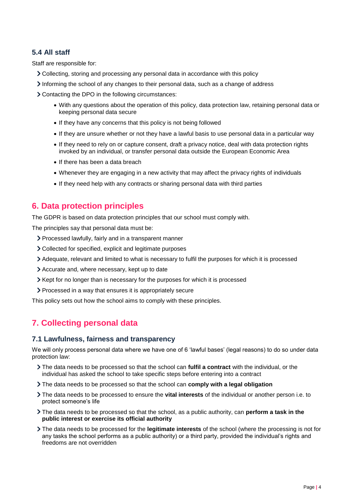## **5.4 All staff**

Staff are responsible for:

- Collecting, storing and processing any personal data in accordance with this policy
- Informing the school of any changes to their personal data, such as a change of address

Contacting the DPO in the following circumstances:

- With any questions about the operation of this policy, data protection law, retaining personal data or keeping personal data secure
- If they have any concerns that this policy is not being followed
- If they are unsure whether or not they have a lawful basis to use personal data in a particular way
- If they need to rely on or capture consent, draft a privacy notice, deal with data protection rights invoked by an individual, or transfer personal data outside the European Economic Area
- If there has been a data breach
- Whenever they are engaging in a new activity that may affect the privacy rights of individuals
- If they need help with any contracts or sharing personal data with third parties

## **6. Data protection principles**

The GDPR is based on data protection principles that our school must comply with.

The principles say that personal data must be:

- Processed lawfully, fairly and in a transparent manner
- Collected for specified, explicit and legitimate purposes
- Adequate, relevant and limited to what is necessary to fulfil the purposes for which it is processed
- Accurate and, where necessary, kept up to date
- $\geq$  Kept for no longer than is necessary for the purposes for which it is processed
- Processed in a way that ensures it is appropriately secure

This policy sets out how the school aims to comply with these principles.

# **7. Collecting personal data**

## **7.1 Lawfulness, fairness and transparency**

We will only process personal data where we have one of 6 'lawful bases' (legal reasons) to do so under data protection law:

- The data needs to be processed so that the school can **fulfil a contract** with the individual, or the individual has asked the school to take specific steps before entering into a contract
- The data needs to be processed so that the school can **comply with a legal obligation**
- The data needs to be processed to ensure the **vital interests** of the individual or another person i.e. to protect someone's life
- The data needs to be processed so that the school, as a public authority, can **perform a task in the public interest or exercise its official authority**
- The data needs to be processed for the **legitimate interests** of the school (where the processing is not for any tasks the school performs as a public authority) or a third party, provided the individual's rights and freedoms are not overridden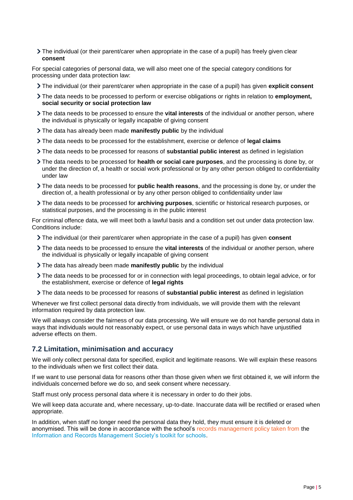The individual (or their parent/carer when appropriate in the case of a pupil) has freely given clear **consent** 

For special categories of personal data, we will also meet one of the special category conditions for processing under data protection law:

- The individual (or their parent/carer when appropriate in the case of a pupil) has given **explicit consent**
- The data needs to be processed to perform or exercise obligations or rights in relation to **employment, social security or social protection law**
- The data needs to be processed to ensure the **vital interests** of the individual or another person, where the individual is physically or legally incapable of giving consent
- The data has already been made **manifestly public** by the individual
- The data needs to be processed for the establishment, exercise or defence of **legal claims**
- The data needs to be processed for reasons of **substantial public interest** as defined in legislation
- The data needs to be processed for **health or social care purposes**, and the processing is done by, or under the direction of, a health or social work professional or by any other person obliged to confidentiality under law
- The data needs to be processed for **public health reasons**, and the processing is done by, or under the direction of, a health professional or by any other person obliged to confidentiality under law
- The data needs to be processed for **archiving purposes**, scientific or historical research purposes, or statistical purposes, and the processing is in the public interest

For criminal offence data, we will meet both a lawful basis and a condition set out under data protection law. Conditions include:

- The individual (or their parent/carer when appropriate in the case of a pupil) has given **consent**
- The data needs to be processed to ensure the **vital interests** of the individual or another person, where the individual is physically or legally incapable of giving consent
- The data has already been made **manifestly public** by the individual
- The data needs to be processed for or in connection with legal proceedings, to obtain legal advice, or for the establishment, exercise or defence of **legal rights**
- The data needs to be processed for reasons of **substantial public interest** as defined in legislation

Whenever we first collect personal data directly from individuals, we will provide them with the relevant information required by data protection law.

We will always consider the fairness of our data processing. We will ensure we do not handle personal data in ways that individuals would not reasonably expect, or use personal data in ways which have unjustified adverse effects on them.

## **7.2 Limitation, minimisation and accuracy**

We will only collect personal data for specified, explicit and legitimate reasons. We will explain these reasons to the individuals when we first collect their data.

If we want to use personal data for reasons other than those given when we first obtained it, we will inform the individuals concerned before we do so, and seek consent where necessary.

Staff must only process personal data where it is necessary in order to do their jobs.

We will keep data accurate and, where necessary, up-to-date. Inaccurate data will be rectified or erased when appropriate.

In addition, when staff no longer need the personal data they hold, they must ensure it is deleted or anonymised. This will be done in accordance with the school's records management policy taken from the Information and Records Management Society's toolkit for schools.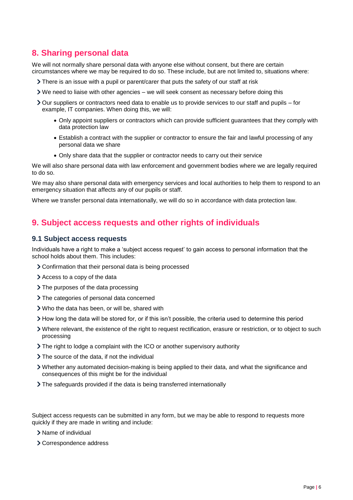## **8. Sharing personal data**

We will not normally share personal data with anyone else without consent, but there are certain circumstances where we may be required to do so. These include, but are not limited to, situations where:

- There is an issue with a pupil or parent/carer that puts the safety of our staff at risk
- $\triangleright$  We need to liaise with other agencies we will seek consent as necessary before doing this
- Our suppliers or contractors need data to enable us to provide services to our staff and pupils for example, IT companies. When doing this, we will:
	- Only appoint suppliers or contractors which can provide sufficient guarantees that they comply with data protection law
	- Establish a contract with the supplier or contractor to ensure the fair and lawful processing of any personal data we share
	- Only share data that the supplier or contractor needs to carry out their service

We will also share personal data with law enforcement and government bodies where we are legally required to do so.

We may also share personal data with emergency services and local authorities to help them to respond to an emergency situation that affects any of our pupils or staff.

Where we transfer personal data internationally, we will do so in accordance with data protection law.

## **9. Subject access requests and other rights of individuals**

#### **9.1 Subject access requests**

Individuals have a right to make a 'subject access request' to gain access to personal information that the school holds about them. This includes:

- Confirmation that their personal data is being processed
- Access to a copy of the data
- > The purposes of the data processing
- > The categories of personal data concerned
- Who the data has been, or will be, shared with
- How long the data will be stored for, or if this isn't possible, the criteria used to determine this period
- Where relevant, the existence of the right to request rectification, erasure or restriction, or to object to such processing
- The right to lodge a complaint with the ICO or another supervisory authority
- > The source of the data, if not the individual
- Whether any automated decision-making is being applied to their data, and what the significance and consequences of this might be for the individual
- The safeguards provided if the data is being transferred internationally

Subject access requests can be submitted in any form, but we may be able to respond to requests more quickly if they are made in writing and include:

- > Name of individual
- > Correspondence address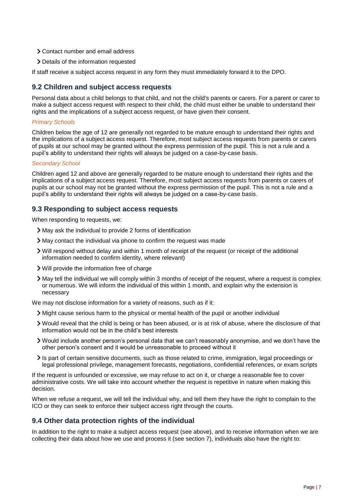- Contact number and email address
- > Details of the information requested

If staff receive a subject access request in any form they must immediately forward it to the DPO.

## **9.2 Children and subject access requests**

Personal data about a child belongs to that child, and not the child's parents or carers. For a parent or carer to make a subject access request with respect to their child, the child must either be unable to understand their rights and the implications of a subject access request, or have given their consent.

### *Primary Schools*

Children below the age of 12 are generally not regarded to be mature enough to understand their rights and the implications of a subject access request. Therefore, most subject access requests from parents or carers of pupils at our school may be granted without the express permission of the pupil. This is not a rule and a pupil's ability to understand their rights will always be judged on a case-by-case basis.

#### *Secondary School*

Children aged 12 and above are generally regarded to be mature enough to understand their rights and the implications of a subject access request. Therefore, most subject access requests from parents or carers of pupils at our school may not be granted without the express permission of the pupil. This is not a rule and a pupil's ability to understand their rights will always be judged on a case-by-case basis.

## **9.3 Responding to subject access requests**

When responding to requests, we:

- May ask the individual to provide 2 forms of identification
- May contact the individual via phone to confirm the request was made
- Will respond without delay and within 1 month of receipt of the request (or receipt of the additional information needed to confirm identity, where relevant)
- Will provide the information free of charge
- May tell the individual we will comply within 3 months of receipt of the request, where a request is complex or numerous. We will inform the individual of this within 1 month, and explain why the extension is necessary

We may not disclose information for a variety of reasons, such as if it:

- Might cause serious harm to the physical or mental health of the pupil or another individual
- Would reveal that the child is being or has been abused, or is at risk of abuse, where the disclosure of that information would not be in the child's best interests
- Would include another person's personal data that we can't reasonably anonymise, and we don't have the other person's consent and it would be unreasonable to proceed without it
- Is part of certain sensitive documents, such as those related to crime, immigration, legal proceedings or legal professional privilege, management forecasts, negotiations, confidential references, or exam scripts

If the request is unfounded or excessive, we may refuse to act on it, or charge a reasonable fee to cover administrative costs. We will take into account whether the request is repetitive in nature when making this decision.

When we refuse a request, we will tell the individual why, and tell them they have the right to complain to the ICO or they can seek to enforce their subject access right through the courts.

## **9.4 Other data protection rights of the individual**

In addition to the right to make a subject access request (see above), and to receive information when we are collecting their data about how we use and process it (see section 7), individuals also have the right to: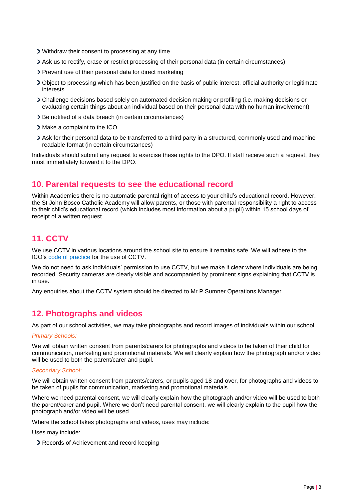- Withdraw their consent to processing at any time
- Ask us to rectify, erase or restrict processing of their personal data (in certain circumstances)
- > Prevent use of their personal data for direct marketing
- Object to processing which has been justified on the basis of public interest, official authority or legitimate interests
- Challenge decisions based solely on automated decision making or profiling (i.e. making decisions or evaluating certain things about an individual based on their personal data with no human involvement)
- > Be notified of a data breach (in certain circumstances)
- > Make a complaint to the ICO
- Ask for their personal data to be transferred to a third party in a structured, commonly used and machinereadable format (in certain circumstances)

Individuals should submit any request to exercise these rights to the DPO. If staff receive such a request, they must immediately forward it to the DPO.

## **10. Parental requests to see the educational record**

Within Academies there is no automatic parental right of access to your child's educational record. However, the St John Bosco Catholic Academy will allow parents, or those with parental responsibility a right to access to their child's educational record (which includes most information about a pupil) within 15 school days of receipt of a written request.

# **11. CCTV**

We use CCTV in various locations around the school site to ensure it remains safe. We will adhere to the ICO's [code of](https://ico.org.uk/media/for-organisations/documents/1542/cctv-code-of-practice.pdf) practice for the use of CCTV.

We do not need to ask individuals' permission to use CCTV, but we make it clear where individuals are being recorded. Security cameras are clearly visible and accompanied by prominent signs explaining that CCTV is in use.

Any enquiries about the CCTV system should be directed to Mr P Sumner Operations Manager.

## **12. Photographs and videos**

As part of our school activities, we may take photographs and record images of individuals within our school.

#### *Primary Schools:*

We will obtain written consent from parents/carers for photographs and videos to be taken of their child for communication, marketing and promotional materials. We will clearly explain how the photograph and/or video will be used to both the parent/carer and pupil.

#### *Secondary School:*

We will obtain written consent from parents/carers, or pupils aged 18 and over, for photographs and videos to be taken of pupils for communication, marketing and promotional materials.

Where we need parental consent, we will clearly explain how the photograph and/or video will be used to both the parent/carer and pupil. Where we don't need parental consent, we will clearly explain to the pupil how the photograph and/or video will be used.

Where the school takes photographs and videos, uses may include:

Uses may include:

Records of Achievement and record keeping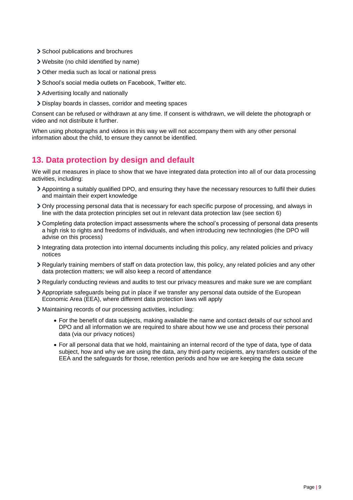- > School publications and brochures
- Website (no child identified by name)
- Other media such as local or national press
- School's social media outlets on Facebook. Twitter etc.
- Advertising locally and nationally
- Display boards in classes, corridor and meeting spaces

Consent can be refused or withdrawn at any time. If consent is withdrawn, we will delete the photograph or video and not distribute it further.

When using photographs and videos in this way we will not accompany them with any other personal information about the child, to ensure they cannot be identified.

## **13. Data protection by design and default**

We will put measures in place to show that we have integrated data protection into all of our data processing activities, including:

- Appointing a suitably qualified DPO, and ensuring they have the necessary resources to fulfil their duties and maintain their expert knowledge
- Only processing personal data that is necessary for each specific purpose of processing, and always in line with the data protection principles set out in relevant data protection law (see section 6)
- Completing data protection impact assessments where the school's processing of personal data presents a high risk to rights and freedoms of individuals, and when introducing new technologies (the DPO will advise on this process)
- Integrating data protection into internal documents including this policy, any related policies and privacy notices
- Regularly training members of staff on data protection law, this policy, any related policies and any other data protection matters; we will also keep a record of attendance
- Regularly conducting reviews and audits to test our privacy measures and make sure we are compliant
- Appropriate safeguards being put in place if we transfer any personal data outside of the European Economic Area (EEA), where different data protection laws will apply
- Maintaining records of our processing activities, including:
	- For the benefit of data subjects, making available the name and contact details of our school and DPO and all information we are required to share about how we use and process their personal data (via our privacy notices)
	- For all personal data that we hold, maintaining an internal record of the type of data, type of data subject, how and why we are using the data, any third-party recipients, any transfers outside of the EEA and the safeguards for those, retention periods and how we are keeping the data secure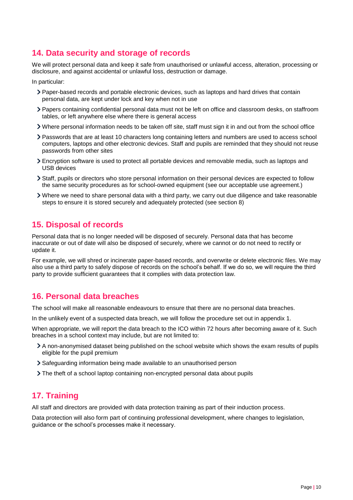# **14. Data security and storage of records**

We will protect personal data and keep it safe from unauthorised or unlawful access, alteration, processing or disclosure, and against accidental or unlawful loss, destruction or damage.

In particular:

- Paper-based records and portable electronic devices, such as laptops and hard drives that contain personal data, are kept under lock and key when not in use
- Papers containing confidential personal data must not be left on office and classroom desks, on staffroom tables, or left anywhere else where there is general access
- Where personal information needs to be taken off site, staff must sign it in and out from the school office
- Passwords that are at least 10 characters long containing letters and numbers are used to access school computers, laptops and other electronic devices. Staff and pupils are reminded that they should not reuse passwords from other sites
- Encryption software is used to protect all portable devices and removable media, such as laptops and USB devices
- Staff, pupils or directors who store personal information on their personal devices are expected to follow the same security procedures as for school-owned equipment (see our acceptable use agreement.)
- Where we need to share personal data with a third party, we carry out due diligence and take reasonable steps to ensure it is stored securely and adequately protected (see section 8)

## **15. Disposal of records**

Personal data that is no longer needed will be disposed of securely. Personal data that has become inaccurate or out of date will also be disposed of securely, where we cannot or do not need to rectify or update it.

For example, we will shred or incinerate paper-based records, and overwrite or delete electronic files. We may also use a third party to safely dispose of records on the school's behalf. If we do so, we will require the third party to provide sufficient guarantees that it complies with data protection law.

## **16. Personal data breaches**

The school will make all reasonable endeavours to ensure that there are no personal data breaches.

In the unlikely event of a suspected data breach, we will follow the procedure set out in appendix 1.

When appropriate, we will report the data breach to the ICO within 72 hours after becoming aware of it. Such breaches in a school context may include, but are not limited to:

- A non-anonymised dataset being published on the school website which shows the exam results of pupils eligible for the pupil premium
- Safeguarding information being made available to an unauthorised person
- The theft of a school laptop containing non-encrypted personal data about pupils

# **17. Training**

All staff and directors are provided with data protection training as part of their induction process.

Data protection will also form part of continuing professional development, where changes to legislation, guidance or the school's processes make it necessary.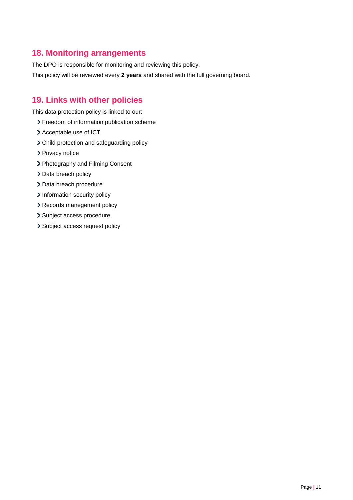# **18. Monitoring arrangements**

The DPO is responsible for monitoring and reviewing this policy. This policy will be reviewed every **2 years** and shared with the full governing board.

# **19. Links with other policies**

This data protection policy is linked to our:

- > Freedom of information publication scheme
- > Acceptable use of ICT
- Child protection and safeguarding policy
- > Privacy notice
- > Photography and Filming Consent
- > Data breach policy
- > Data breach procedure
- > Information security policy
- > Records manegement policy
- > Subject access procedure
- > Subject access request policy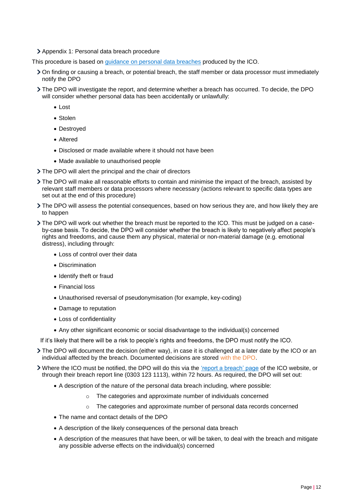Appendix 1: Personal data breach procedure

This procedure is based on [guidance on personal data breaches](https://ico.org.uk/for-organisations/guide-to-the-general-data-protection-regulation-gdpr/personal-data-breaches/) produced by the ICO.

- On finding or causing a breach, or potential breach, the staff member or data processor must immediately notify the DPO
- The DPO will investigate the report, and determine whether a breach has occurred. To decide, the DPO will consider whether personal data has been accidentally or unlawfully:
	- Lost
	- Stolen
	- Destroyed
	- Altered
	- Disclosed or made available where it should not have been
	- Made available to unauthorised people
- The DPO will alert the principal and the chair of directors
- The DPO will make all reasonable efforts to contain and minimise the impact of the breach, assisted by relevant staff members or data processors where necessary (actions relevant to specific data types are set out at the end of this procedure)
- The DPO will assess the potential consequences, based on how serious they are, and how likely they are to happen
- The DPO will work out whether the breach must be reported to the ICO. This must be judged on a caseby-case basis. To decide, the DPO will consider whether the breach is likely to negatively affect people's rights and freedoms, and cause them any physical, material or non-material damage (e.g. emotional distress), including through:
	- Loss of control over their data
	- Discrimination
	- Identify theft or fraud
	- Financial loss
	- Unauthorised reversal of pseudonymisation (for example, key-coding)
	- Damage to reputation
	- Loss of confidentiality
	- Any other significant economic or social disadvantage to the individual(s) concerned
- If it's likely that there will be a risk to people's rights and freedoms, the DPO must notify the ICO.
- The DPO will document the decision (either way), in case it is challenged at a later date by the ICO or an individual affected by the breach. Documented decisions are stored with the DPO.
- Where the ICO must be notified, the DPO will do this via the ['report a breach' page](https://ico.org.uk/for-organisations/report-a-breach/) of the ICO website, or through their breach report line (0303 123 1113), within 72 hours. As required, the DPO will set out:
	- A description of the nature of the personal data breach including, where possible:
		- o The categories and approximate number of individuals concerned
		- $\circ$  The categories and approximate number of personal data records concerned
	- The name and contact details of the DPO
	- A description of the likely consequences of the personal data breach
	- A description of the measures that have been, or will be taken, to deal with the breach and mitigate any possible adverse effects on the individual(s) concerned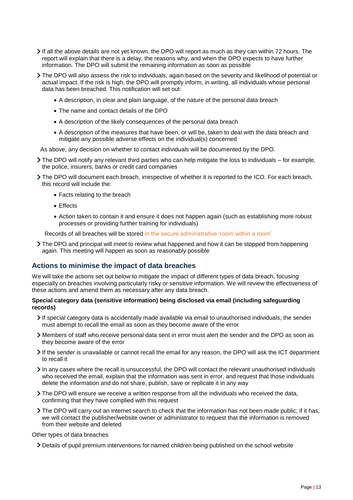- If all the above details are not yet known, the DPO will report as much as they can within 72 hours. The report will explain that there is a delay, the reasons why, and when the DPO expects to have further information. The DPO will submit the remaining information as soon as possible
- The DPO will also assess the risk to individuals, again based on the severity and likelihood of potential or actual impact. If the risk is high, the DPO will promptly inform, in writing, all individuals whose personal data has been breached. This notification will set out:
	- A description, in clear and plain language, of the nature of the personal data breach
	- The name and contact details of the DPO
	- A description of the likely consequences of the personal data breach
	- A description of the measures that have been, or will be, taken to deal with the data breach and mitigate any possible adverse effects on the individual(s) concerned

As above, any decision on whether to contact individuals will be documented by the DPO.

- $\geq$  The DPO will notify any relevant third parties who can help mitigate the loss to individuals for example, the police, insurers, banks or credit card companies
- The DPO will document each breach, irrespective of whether it is reported to the ICO. For each breach, this record will include the:
	- Facts relating to the breach
	- Effects
	- Action taken to contain it and ensure it does not happen again (such as establishing more robust processes or providing further training for individuals)

Records of all breaches will be stored in the secure administrative 'room within a room'

The DPO and principal will meet to review what happened and how it can be stopped from happening again. This meeting will happen as soon as reasonably possible

## **Actions to minimise the impact of data breaches**

We will take the actions set out below to mitigate the impact of different types of data breach, focusing especially on breaches involving particularly risky or sensitive information. We will review the effectiveness of these actions and amend them as necessary after any data breach.

#### **Special category data (sensitive information) being disclosed via email (including safeguarding records)**

- If special category data is accidentally made available via email to unauthorised individuals, the sender must attempt to recall the email as soon as they become aware of the error
- Members of staff who receive personal data sent in error must alert the sender and the DPO as soon as they become aware of the error
- If the sender is unavailable or cannot recall the email for any reason, the DPO will ask the ICT department to recall it
- In any cases where the recall is unsuccessful, the DPO will contact the relevant unauthorised individuals who received the email, explain that the information was sent in error, and request that those individuals delete the information and do not share, publish, save or replicate it in any way
- The DPO will ensure we receive a written response from all the individuals who received the data, confirming that they have complied with this request
- The DPO will carry out an internet search to check that the information has not been made public; if it has, we will contact the publisher/website owner or administrator to request that the information is removed from their website and deleted

#### Other types of data breaches

Details of pupil premium interventions for named children being published on the school website